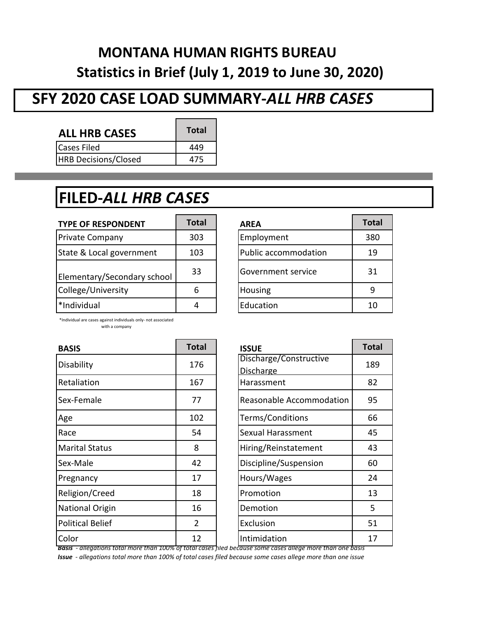## **MONTANA HUMAN RIGHTS BUREAU Statistics in Brief (July 1, 2019 to June 30, 2020)**

# **SFY 2020 CASE LOAD SUMMARY-***ALL HRB CASES*

| <b>ALL HRB CASES</b>        | <b>Total</b> |
|-----------------------------|--------------|
| <b>Cases Filed</b>          | 449          |
| <b>HRB Decisions/Closed</b> |              |

# **FILED-***ALL HRB CASES*

| <b>TYPE OF RESPONDENT</b>   | <b>Total</b> | <b>AREA</b>          | <b>Total</b> |
|-----------------------------|--------------|----------------------|--------------|
| Private Company             | 303          | Employment           | 380          |
| State & Local government    | 103          | Public accommodation | 19           |
| Elementary/Secondary school | 33           | Government service   | 31           |
| College/University          | 6            | Housing              |              |
| <sup>*</sup> Individual     | 4            | Education            | 10           |

| AREA                        | <b>Total</b> |
|-----------------------------|--------------|
| Employment                  | 380          |
| <b>Public accommodation</b> | 19           |
| Government service          | 31           |
| Housing                     | q            |
| Education                   | 10           |

\*Individual are cases against individuals only- not associated with a company

| <b>BASIS</b>     | <b>Total</b>   | <b>ISSUE</b>                               | <b>Total</b> |
|------------------|----------------|--------------------------------------------|--------------|
| Disability       | 176            | Discharge/Constructive<br><b>Discharge</b> | 189          |
| Retaliation      | 167            | Harassment                                 | 82           |
| Sex-Female       | 77             | Reasonable Accommodation                   | 95           |
| Age              | 102            | Terms/Conditions                           | 66           |
| Race             | 54             | Sexual Harassment                          | 45           |
| Marital Status   | 8              | Hiring/Reinstatement                       | 43           |
| Sex-Male         | 42             | Discipline/Suspension                      | 60           |
| Pregnancy        | 17             | Hours/Wages                                | 24           |
| Religion/Creed   | 18             | Promotion                                  | 13           |
| National Origin  | 16             | Demotion                                   | 5            |
| Political Belief | $\overline{2}$ | Exclusion                                  | 51           |
| Color            | 12             | Intimidation                               | 17           |

| <b>ISSUE</b>             | Total |
|--------------------------|-------|
| Discharge/Constructive   | 189   |
| <b>Discharge</b>         |       |
| Harassment               | 82    |
| Reasonable Accommodation | 95    |
| Terms/Conditions         | 66    |
| Sexual Harassment        | 45    |
| Hiring/Reinstatement     | 43    |
| Discipline/Suspension    | 60    |
| Hours/Wages              | 24    |
| Promotion                | 13    |
| Demotion                 | 5     |
| Exclusion                | 51    |
| Intimidation             | 17    |

*Basis - allegations total more than 100% of total cases filed because some cases allege more than one basis*

*Issue - allegations total more than 100% of total cases filed because some cases allege more than one issue*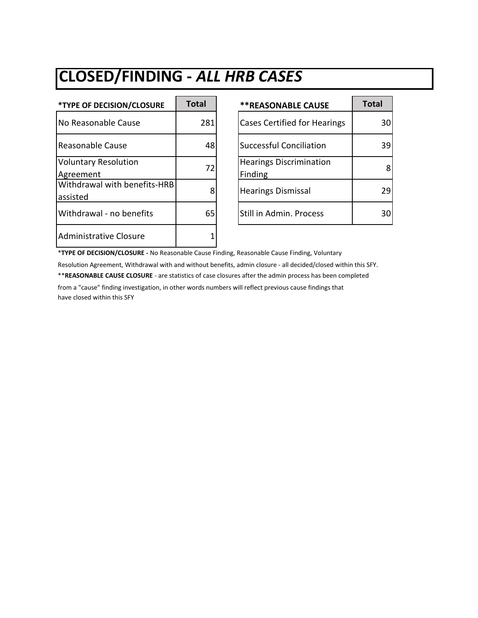# **CLOSED/FINDING -** *ALL HRB CASES*

| *TYPE OF DECISION/CLOSURE                 | <b>Total</b> | <b>**REASONABLE CAUSE</b>                 | <b>Total</b> |
|-------------------------------------------|--------------|-------------------------------------------|--------------|
| <b>INo Reasonable Cause</b>               | 281          | Cases Certified for Hearings              | 30           |
| Reasonable Cause                          | 48           | <b>Successful Conciliation</b>            | 39           |
| <b>Voluntary Resolution</b><br>Agreement  | 72           | <b>Hearings Discrimination</b><br>Finding | 8            |
| Withdrawal with benefits-HRB<br>lassisted | 8            | <b>Hearings Dismissal</b>                 | 29           |
| Withdrawal - no benefits                  | 65           | Still in Admin. Process                   | 30           |
| Administrative Closure                    |              |                                           |              |

| <b>**REASONABLE CAUSE</b>                 | <b>Total</b> |
|-------------------------------------------|--------------|
| <b>Cases Certified for Hearings</b>       | 30           |
| <b>Successful Conciliation</b>            | 39           |
| <b>Hearings Discrimination</b><br>Finding |              |
| <b>Hearings Dismissal</b>                 | 29           |
| Still in Admin. Process                   |              |

\***TYPE OF DECISION/CLOSURE -** No Reasonable Cause Finding, Reasonable Cause Finding, Voluntary

Resolution Agreement, Withdrawal with and without benefits, admin closure - all decided/closed within this SFY. \*\***REASONABLE CAUSE CLOSURE** - are statistics of case closures after the admin process has been completed from a "cause" finding investigation, in other words numbers will reflect previous cause findings that have closed within this SFY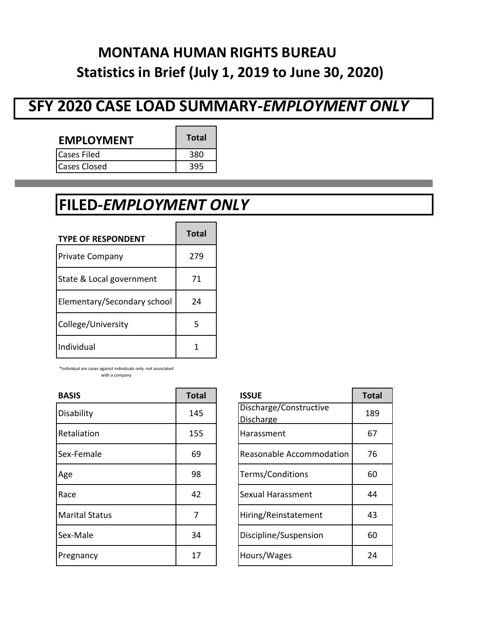### **MONTANA HUMAN RIGHTS BUREAU Statistics in Brief (July 1, 2019 to June 30, 2020)**

## **SFY 2020 CASE LOAD SUMMARY-***EMPLOYMENT ONLY*

 $\overline{\phantom{0}}$ 

| <b>EMPLOYMENT</b> | <b>Total</b> |
|-------------------|--------------|
| lCases Filed      | 380          |
| lCases Closed     |              |

#### **FILED-***EMPLOYMENT ONLY*

Ē

| <b>TYPE OF RESPONDENT</b>   | <b>Total</b> |
|-----------------------------|--------------|
| <b>Private Company</b>      | 279          |
| State & Local government    | 71           |
| Elementary/Secondary school | 24           |
| College/University          |              |
| Individual                  |              |

\*Individual are cases against individuals only- not associated with a company

| <b>BASIS</b>          | <b>Total</b> | <b>ISSUE</b>                               | <b>Total</b> |
|-----------------------|--------------|--------------------------------------------|--------------|
| Disability            | 145          | Discharge/Constructive<br><b>Discharge</b> | 189          |
| Retaliation           | 155          | Harassment                                 | 67           |
| Sex-Female            | 69           | Reasonable Accommodation                   | 76           |
| Age                   | 98           | Terms/Conditions                           | 60           |
| Race                  | 42           | Sexual Harassment                          | 44           |
| <b>Marital Status</b> | 7            | Hiring/Reinstatement                       | 43           |
| Sex-Male              | 34           | Discipline/Suspension                      | 60           |
| Pregnancy             | 17           | Hours/Wages                                | 24           |

| <b>ISSUE</b>                               | Total |
|--------------------------------------------|-------|
| Discharge/Constructive<br><b>Discharge</b> | 189   |
| <b>Harassment</b>                          | 67    |
| Reasonable Accommodation                   | 76    |
| Terms/Conditions                           | 60    |
| Sexual Harassment                          | 44    |
| Hiring/Reinstatement                       | 43    |
| Discipline/Suspension                      | 60    |
| Hours/Wages                                | 24    |